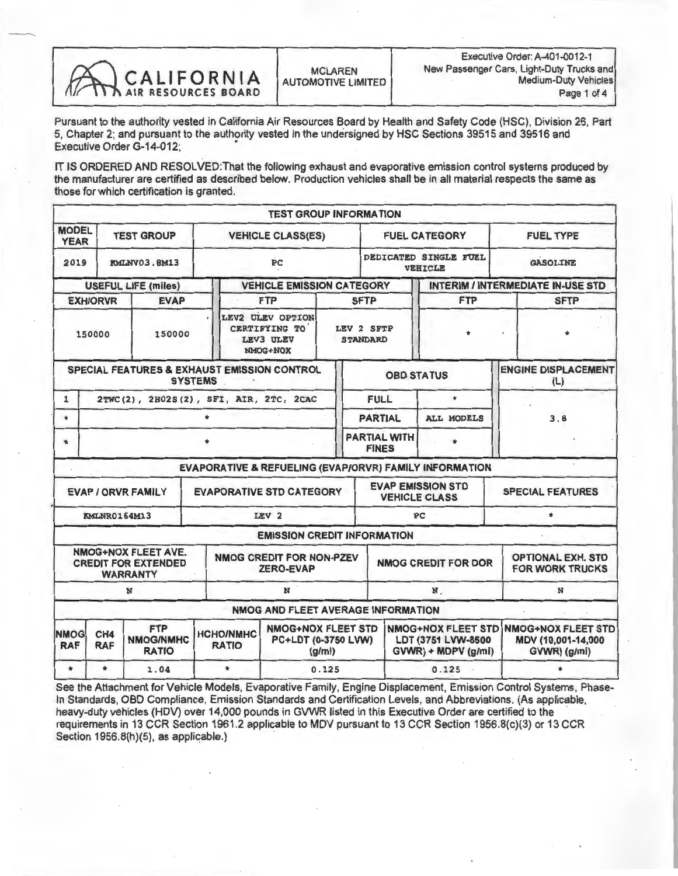

Pursuant to the authority vested in California Air Resources Board by Health and Safety Code (HSC), Division 26, Part 5, Chapter 2; and pursuant to the authority vested in the undersigned by HSC Sections 39515 and 39516 and Executive Order G-14-012;

IT IS ORDERED AND RESOLVED: That the following exhaust and evaporative emission control systems produced by the manufacturer are certified as described below. Production vehicles shall be in all material respects the same as those for which certification is granted.

|                             |                                                                     |                                                                      |                                                                                             | <b>TEST GROUP INFORMATION</b>                              |             |                                     |                                                                        |                                                          |  |
|-----------------------------|---------------------------------------------------------------------|----------------------------------------------------------------------|---------------------------------------------------------------------------------------------|------------------------------------------------------------|-------------|-------------------------------------|------------------------------------------------------------------------|----------------------------------------------------------|--|
| <b>MODEL</b><br><b>YEAR</b> |                                                                     | <b>TEST GROUP</b>                                                    | <b>VEHICLE CLASS(ES)</b>                                                                    |                                                            |             | <b>FUEL CATEGORY</b>                | <b>FUEL TYPE</b>                                                       |                                                          |  |
| 2019                        | <b>KMLNV03.8M13</b>                                                 |                                                                      |                                                                                             | PC                                                         |             |                                     | DEDICATED SINGLE FUEL<br><b>VEHICLE</b>                                | <b>GASOLINE</b>                                          |  |
|                             |                                                                     | <b>USEFUL LIFE (miles)</b>                                           |                                                                                             | <b>VEHICLE EMISSION CATEGORY</b>                           |             |                                     | <b>INTERIM / INTERMEDIATE IN-USE STD</b>                               |                                                          |  |
|                             | <b>EXH/ORVR</b>                                                     | <b>EVAP</b>                                                          | <b>FTP</b>                                                                                  |                                                            | <b>SFTP</b> | <b>FTP</b>                          | <b>SFTP</b>                                                            |                                                          |  |
| 150000<br>150000            |                                                                     |                                                                      | LEV2 ULEV OPTION<br>CERTIFYING TO<br>LEV 2 SFTP<br>LEV3 ULEV<br><b>STANDARD</b><br>NMOG+NOX |                                                            |             |                                     |                                                                        |                                                          |  |
|                             |                                                                     | SPECIAL FEATURES & EXHAUST EMISSION CONTROL                          | <b>SYSTEMS</b>                                                                              |                                                            |             | <b>OBD STATUS</b>                   |                                                                        | <b>ENGINE DISPLACEMENT</b><br>(L)                        |  |
| $\mathbf{1}$                |                                                                     | 2TWC(2), 2H02S(2), SFI, AIR, 2TC, 2CAC                               |                                                                                             |                                                            |             | <b>FULL</b>                         | $\Phi$                                                                 |                                                          |  |
| $\bullet$                   |                                                                     |                                                                      | $\bullet$                                                                                   |                                                            |             | <b>PARTIAL</b>                      | <b>ALL MODELS</b>                                                      | 3.8                                                      |  |
|                             |                                                                     |                                                                      |                                                                                             |                                                            |             | <b>PARTIAL WITH</b><br><b>FINES</b> |                                                                        |                                                          |  |
|                             |                                                                     |                                                                      |                                                                                             |                                                            |             |                                     | EVAPORATIVE & REFUELING (EVAP/ORVR) FAMILY INFORMATION                 |                                                          |  |
|                             |                                                                     | <b>EVAP / ORVR FAMILY</b>                                            | <b>EVAPORATIVE STD CATEGORY</b>                                                             |                                                            |             |                                     | <b>EVAP EMISSION STD</b><br><b>VEHICLE CLASS</b>                       | <b>SPECIAL FEATURES</b>                                  |  |
|                             |                                                                     | <b>KMLNR0164M13</b>                                                  |                                                                                             | LEV <sub>2</sub>                                           |             |                                     | <b>PC</b>                                                              | $\star$                                                  |  |
|                             |                                                                     |                                                                      |                                                                                             | <b>EMISSION CREDIT INFORMATION</b>                         |             |                                     |                                                                        |                                                          |  |
|                             |                                                                     | NMOG+NOX FLEET AVE.<br><b>CREDIT FOR EXTENDED</b><br><b>WARRANTY</b> |                                                                                             | <b>NMOG CREDIT FOR NON-PZEV</b><br><b>ZERO-EVAP</b>        |             |                                     | <b>NMOG CREDIT FOR DOR</b>                                             | <b>OPTIONAL EXH. STD</b><br><b>FOR WORK TRUCKS</b>       |  |
|                             |                                                                     | N                                                                    |                                                                                             | N                                                          |             |                                     | N.                                                                     | N                                                        |  |
|                             |                                                                     |                                                                      |                                                                                             | NMOG AND FLEET AVERAGE INFORMATION                         |             |                                     |                                                                        |                                                          |  |
| <b>NMOG</b><br><b>RAF</b>   | <b>FTP</b><br>CH4<br><b>NMOG/NMHC</b><br><b>RAF</b><br><b>RATIO</b> |                                                                      | <b>HCHO/NMHC</b><br><b>RATIO</b>                                                            | <b>NMOG+NOX FLEET STD</b><br>PC+LDT (0-3750 LVW)<br>(g/mi) |             |                                     | <b>NMOG+NOX FLEET STD</b><br>LDT (3751 LVW-8500<br>GVWR) + MDPV (g/mi) | NMOG+NOX FLEET STD<br>MDV (10,001-14,000<br>GVWR) (g/mi) |  |
| $\star$                     | $\star$                                                             | 1.04                                                                 | $\star$                                                                                     | 0.125                                                      |             |                                     | 0.125                                                                  |                                                          |  |

See the Attachment for Vehicle Models, Evaporative Family, Engine Displacement, Emission Control Systems, Phase-In Standards, OBD Compliance, Emission Standards and Certification Levels, and Abbreviations. (As applicable heavy-duty vehicles (HDV) over 14,000 pounds in GVWR listed in this Executive Order are certified to the requirements in 13 CCR Section 1961.2 applicable to MDV pursuant to 13 CCR Section 1956.8(c)(3) or 13 CCR Section 1956.8(h)(5), as applicable.)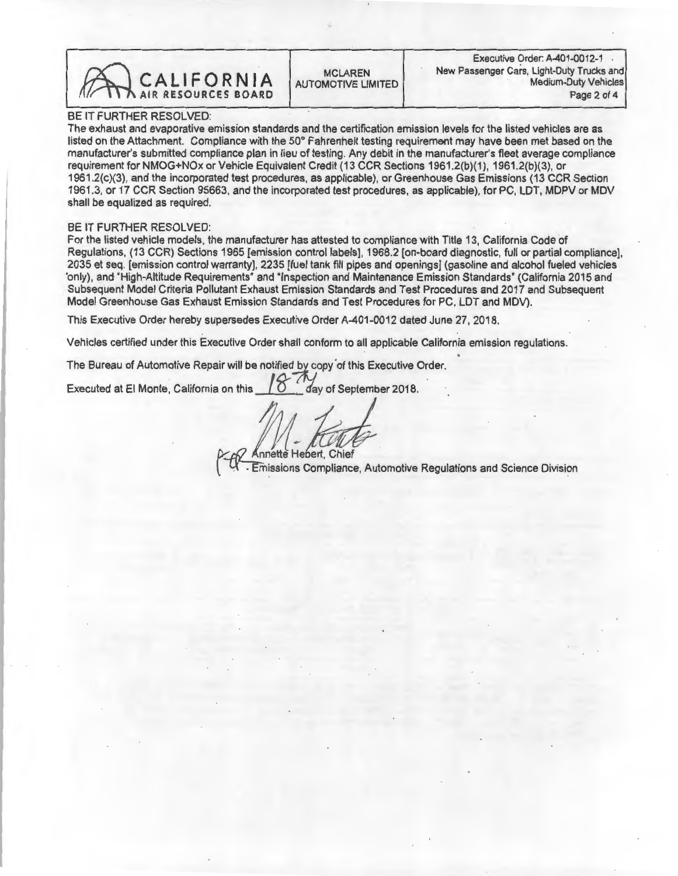CALIFORNIA AUTOMOTIVE LIMITED New Passenger Cars, Light-Duty Trucks and Medium-Duty Vehicles

Executive Order: A-401-0012-1<br>New Passenger Cars. Light-Duty Trucks and

## BE IT FURTHER RESOLVED:

The exhaust and evaporative emission standards and the certification emission levels for the listed vehicles are as listed on the Attachment. Compliance with the 50° Fahrenheit testing requirement may have been met based on the manufacturer's submitted compliance plan in lieu of testing. Any debit in the manufacturer's fleet average compliance requirement for NMOG+NOx or Vehicle Equivalent Credit (13 CCR Sections 1961.2(b)(1), 1961.2(b)(3), or<br>1961.2(c)(3), and the incorporated test procedures, as applicable), or Greenhouse Gas Emissions (13 CCR Section 1961.2(c)(3), and the incorporated test procedures, as applicable), or Greenhouse Gas Emissions (13 CCR Section 1961.3, or 17 CCR Section 95663, and the incorporated test procedures, as applicable), for PC, LDT, MDPV or MDV shall be equalized as required.

BE IT FURTHER RESOLVED:<br>For the listed vehicle models, the manufacturer has attested to compliance with Title 13, California Code of For the listed vehicle models, the manufacturer has attested to compliance with Title 13, California Code of Regulations, (13 CCR) Sections 1965 [emission control labels], 1968.2 [on-board diagnostic, full or partial compliance], 2035 et seq. [emission control warranty], 2235 [fuel tank fill pipes and openings] (gasoline and alcohol fueled vehicles only), and "High-Altitude Requirements" and "Inspection and Maintenance Emission Standards" (California 2015 and Subsequent Model Criteria Pollutant Exhaust Emission Standards and Test Procedures and 2017 and Subsequent Model Greenhouse Gas Exhaust Emission Standards and Test Procedures for PC, LDT and MDV).

This Executive Order hereby supersedes Executive Order A-401-0012 dated June 27, 2018.

Vehicles certified under this Executive Order shall conform to all applicable California emission regulations.

The Bureau of Automotive Repair will be notified by copy of this Executive Order.

Executed at El Monte, California on this  $10$  day of September 2018.

Annette Hebert, Chief

Emissions Compliance, Automotive Regulations and Science Division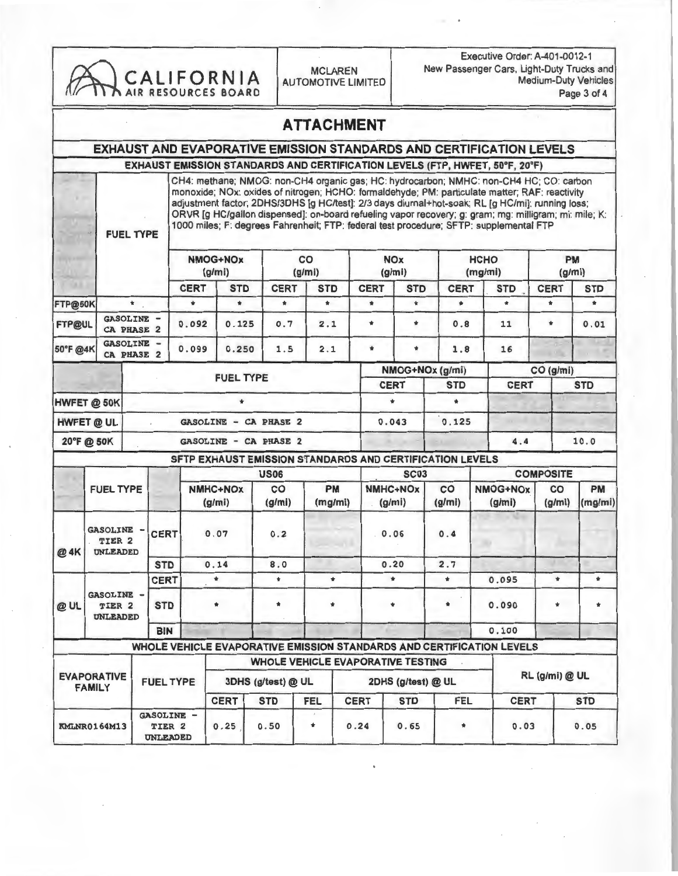| CALIFORNIA<br>AIR RESOURCES BOARD |                                             |            |                                 |                                        |                                                                              |                                   | <b>MCLAREN</b><br><b>AUTOMOTIVE LIMITED</b> |                      |                                                                                                                                                                                                                                                                                                                                                                                                                                                                                                | Executive Order: A-401-0012-1<br>New Passenger Cars, Light-Duty Trucks and<br><b>Medium-Duty Vehicles</b><br>Page 3 of 4 |                       |            |                                    |                           |               |                     |  |
|-----------------------------------|---------------------------------------------|------------|---------------------------------|----------------------------------------|------------------------------------------------------------------------------|-----------------------------------|---------------------------------------------|----------------------|------------------------------------------------------------------------------------------------------------------------------------------------------------------------------------------------------------------------------------------------------------------------------------------------------------------------------------------------------------------------------------------------------------------------------------------------------------------------------------------------|--------------------------------------------------------------------------------------------------------------------------|-----------------------|------------|------------------------------------|---------------------------|---------------|---------------------|--|
|                                   |                                             |            |                                 |                                        |                                                                              |                                   |                                             | <b>ATTACHMENT</b>    |                                                                                                                                                                                                                                                                                                                                                                                                                                                                                                |                                                                                                                          |                       |            |                                    |                           |               |                     |  |
|                                   |                                             |            |                                 |                                        | <b>EXHAUST AND EVAPORATIVE EMISSION STANDARDS AND CERTIFICATION LEVELS</b>   |                                   |                                             |                      |                                                                                                                                                                                                                                                                                                                                                                                                                                                                                                |                                                                                                                          |                       |            |                                    |                           |               |                     |  |
|                                   |                                             |            |                                 |                                        | EXHAUST EMISSION STANDARDS AND CERTIFICATION LEVELS (FTP, HWFET, 50°F, 20°F) |                                   |                                             |                      |                                                                                                                                                                                                                                                                                                                                                                                                                                                                                                |                                                                                                                          |                       |            |                                    |                           |               |                     |  |
|                                   | <b>FUEL TYPE</b>                            |            |                                 |                                        |                                                                              |                                   |                                             |                      | CH4: methane; NMOG: non-CH4 organic gas; HC: hydrocarbon; NMHC: non-CH4 HC; CO: carbon<br>monoxide; NOx: oxides of nitrogen; HCHO: formaldehyde; PM: particulate matter; RAF: reactivity<br>adjustment factor; 2DHS/3DHS [g HC/test]: 2/3 days diumal+hot-soak; RL [g HC/mi]: running loss;<br>ORVR [g HC/gallon dispensed]: on-board refueling vapor recovery; g: gram; mg: milligram; mi: mile; K:<br>1000 miles; F: degrees Fahrenheit; FTP: federal test procedure; SFTP: supplemental FTP |                                                                                                                          |                       |            |                                    |                           |               |                     |  |
|                                   |                                             |            |                                 |                                        |                                                                              | <b>NMOG+NOx</b><br>(g/m)          |                                             |                      | co<br>(g/mi)                                                                                                                                                                                                                                                                                                                                                                                                                                                                                   |                                                                                                                          | <b>NOx</b><br>(g/mi)  |            | <b>HCHO</b><br>(mg/mi)             |                           |               | <b>PM</b><br>(g/mi) |  |
|                                   |                                             |            |                                 | <b>CERT</b>                            | <b>STD</b>                                                                   | <b>CERT</b>                       | <b>STD</b>                                  |                      | <b>CERT</b>                                                                                                                                                                                                                                                                                                                                                                                                                                                                                    | <b>STD</b>                                                                                                               | <b>CERT</b>           |            | <b>STD</b>                         | <b>CERT</b>               | <b>STD</b>    |                     |  |
| FTP@50K                           |                                             | $\ast$     |                                 | $\bullet$                              | $\bullet$                                                                    | $\star$                           | $\star$                                     |                      | $\star$                                                                                                                                                                                                                                                                                                                                                                                                                                                                                        | $\ast$                                                                                                                   | $\bullet$             |            | $\bullet$                          | $\star$                   | $\star$       |                     |  |
| <b>FTP@UL</b>                     | GASOLINE -<br>CA PHASE 2                    |            |                                 | 0.092                                  | 0.125                                                                        | 0.7                               | 2.1                                         |                      | $\ast$                                                                                                                                                                                                                                                                                                                                                                                                                                                                                         | $\ast$                                                                                                                   | 0.8                   |            | 11                                 | $\star$                   | 0.01          |                     |  |
| 50°F @4K                          | GASOLINE -<br>CA PHASE 2                    |            |                                 | 0.099                                  | 0.250                                                                        | 1.5                               | 2.1                                         |                      | $\blacksquare$                                                                                                                                                                                                                                                                                                                                                                                                                                                                                 | $\ast$                                                                                                                   | 1.8                   |            | 16                                 |                           |               |                     |  |
|                                   |                                             |            |                                 |                                        | <b>FUEL TYPE</b>                                                             |                                   |                                             |                      |                                                                                                                                                                                                                                                                                                                                                                                                                                                                                                |                                                                                                                          | NMOG+NOx (g/mi)       |            |                                    | CO (g/mi)                 |               |                     |  |
|                                   |                                             |            |                                 |                                        |                                                                              |                                   |                                             |                      | <b>CERT</b>                                                                                                                                                                                                                                                                                                                                                                                                                                                                                    |                                                                                                                          | <b>STD</b><br>$\star$ |            | <b>CERT</b>                        |                           | <b>STD</b>    |                     |  |
|                                   | HWFET @ 50K                                 |            |                                 |                                        | $\bullet$                                                                    |                                   |                                             |                      | ٠                                                                                                                                                                                                                                                                                                                                                                                                                                                                                              |                                                                                                                          |                       |            |                                    |                           |               |                     |  |
|                                   | HWFET @ UL                                  |            |                                 |                                        | <b>GASOLINE - CA PHASE 2</b>                                                 |                                   |                                             |                      | 0.043                                                                                                                                                                                                                                                                                                                                                                                                                                                                                          |                                                                                                                          | 0.125                 |            |                                    |                           |               |                     |  |
|                                   | 20°F@ 50K                                   |            |                                 |                                        | <b>GASOLINE - CA PHASE 2</b>                                                 |                                   |                                             |                      |                                                                                                                                                                                                                                                                                                                                                                                                                                                                                                |                                                                                                                          |                       |            | 4.4                                |                           | 10.0          |                     |  |
|                                   |                                             |            |                                 |                                        | SFTP EXHAUST EMISSION STANDARDS AND CERTIFICATION LEVELS                     |                                   |                                             |                      |                                                                                                                                                                                                                                                                                                                                                                                                                                                                                                |                                                                                                                          |                       |            |                                    |                           |               |                     |  |
|                                   |                                             |            |                                 |                                        |                                                                              | <b>US06</b>                       |                                             |                      |                                                                                                                                                                                                                                                                                                                                                                                                                                                                                                | <b>SC03</b>                                                                                                              |                       |            |                                    | <b>COMPOSITE</b>          |               |                     |  |
|                                   | <b>FUEL TYPE</b>                            |            |                                 |                                        | NMHC+NOx<br>(g/mi)                                                           | CO<br>(g/mi)                      |                                             | <b>PM</b><br>(mg/mi) |                                                                                                                                                                                                                                                                                                                                                                                                                                                                                                | <b>NMHC+NOx</b><br>CO<br>(g/mi)<br>(g/mi)                                                                                |                       |            | NMOG+NOx<br>CO<br>(g/mi)<br>(g/mi) |                           | PM<br>(mg/mi) |                     |  |
| @ 4K                              | GASOLINE -<br>TIER <sub>2</sub>             |            | <b>CERT</b><br>0.07<br>UNLEADED |                                        | 0.2                                                                          |                                   |                                             | 0.06                 |                                                                                                                                                                                                                                                                                                                                                                                                                                                                                                | 0.4                                                                                                                      |                       |            |                                    |                           |               |                     |  |
|                                   |                                             | <b>STD</b> |                                 |                                        | 0.14                                                                         | 8.0                               |                                             |                      |                                                                                                                                                                                                                                                                                                                                                                                                                                                                                                | 0.20                                                                                                                     | 2.7                   |            |                                    |                           |               |                     |  |
|                                   |                                             |            | <b>CERT</b>                     | $\star$                                |                                                                              | $\star$                           | $\ast$<br>$\star$<br>*                      |                      | $\ast$<br>$\ast$                                                                                                                                                                                                                                                                                                                                                                                                                                                                               |                                                                                                                          | $\ast$                |            | 0.095                              | $\mathbf{r}$              | $\star$       |                     |  |
| @UL                               | GASOLINE -<br>TIER <sub>2</sub><br>UNLEADED |            | <b>STD</b>                      |                                        |                                                                              |                                   |                                             |                      |                                                                                                                                                                                                                                                                                                                                                                                                                                                                                                |                                                                                                                          | $\star$               |            | 0.090                              | $\bullet$                 | $\star$       |                     |  |
|                                   |                                             |            | <b>BIN</b>                      |                                        |                                                                              |                                   |                                             |                      |                                                                                                                                                                                                                                                                                                                                                                                                                                                                                                |                                                                                                                          |                       |            | 0.100                              |                           |               |                     |  |
|                                   |                                             |            |                                 |                                        | WHOLE VEHICLE EVAPORATIVE EMISSION STANDARDS AND CERTIFICATION LEVELS        |                                   |                                             |                      |                                                                                                                                                                                                                                                                                                                                                                                                                                                                                                |                                                                                                                          |                       |            |                                    |                           |               |                     |  |
|                                   |                                             |            |                                 |                                        |                                                                              | WHOLE VEHICLE EVAPORATIVE TESTING |                                             |                      |                                                                                                                                                                                                                                                                                                                                                                                                                                                                                                |                                                                                                                          |                       |            |                                    |                           |               |                     |  |
|                                   | <b>EVAPORATIVE</b><br><b>FAMILY</b>         |            |                                 | <b>FUEL TYPE</b><br>3DHS (g/test) @ UL |                                                                              |                                   |                                             |                      | 2DHS (g/test) @ UL                                                                                                                                                                                                                                                                                                                                                                                                                                                                             |                                                                                                                          |                       |            | RL (g/mi) @ UL                     |                           |               |                     |  |
|                                   |                                             |            |                                 |                                        | <b>CERT</b>                                                                  | <b>STD</b>                        | <b>FEL</b>                                  |                      | <b>CERT</b>                                                                                                                                                                                                                                                                                                                                                                                                                                                                                    |                                                                                                                          |                       | <b>FEL</b> |                                    | <b>CERT</b><br><b>STD</b> |               |                     |  |
|                                   | <b>KMLNR0164M13</b>                         |            | TIER <sub>2</sub><br>UNLEADED   | GASOLINE -<br>0.25                     |                                                                              | 0.50                              | $\ast$                                      |                      | 0.24                                                                                                                                                                                                                                                                                                                                                                                                                                                                                           |                                                                                                                          | *                     |            | 0.03                               |                           | 0.05          |                     |  |